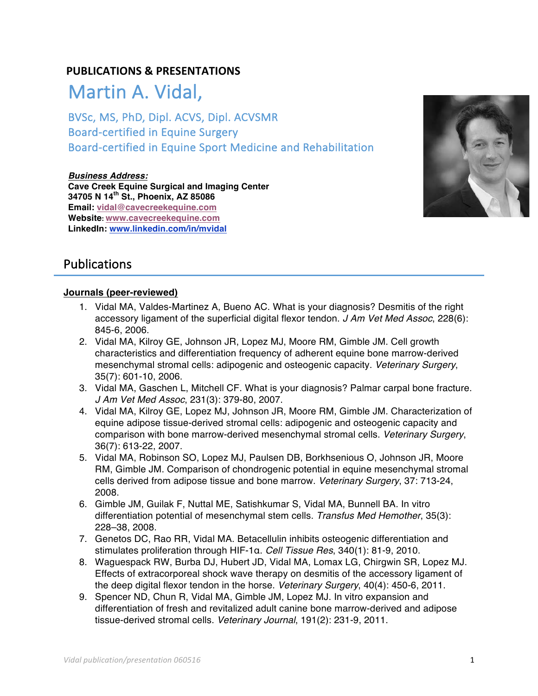## **PUBLICATIONS & PRESENTATIONS**

# Martin A. Vidal,

BVSc, MS, PhD, Dipl. ACVS, Dipl. ACVSMR Board-certified in Equine Surgery Board-certified in Equine Sport Medicine and Rehabilitation

**Business Address: Cave Creek Equine Surgical and Imaging Center 34705 N 14th St., Phoenix, AZ 85086 Email: vidal@cavecreekequine.com Website: www.cavecreekequine.com LinkedIn: www.linkedin.com/in/mvidal**



# Publications

#### **Journals (peer-reviewed)**

- 1. Vidal MA, Valdes-Martinez A, Bueno AC. What is your diagnosis? Desmitis of the right accessory ligament of the superficial digital flexor tendon. *J Am Vet Med Assoc*, 228(6): 845-6, 2006.
- 2. Vidal MA, Kilroy GE, Johnson JR, Lopez MJ, Moore RM, Gimble JM. Cell growth characteristics and differentiation frequency of adherent equine bone marrow-derived mesenchymal stromal cells: adipogenic and osteogenic capacity. *Veterinary Surgery*, 35(7): 601-10, 2006.
- 3. Vidal MA, Gaschen L, Mitchell CF. What is your diagnosis? Palmar carpal bone fracture. *J Am Vet Med Assoc*, 231(3): 379-80, 2007.
- 4. Vidal MA, Kilroy GE, Lopez MJ, Johnson JR, Moore RM, Gimble JM. Characterization of equine adipose tissue-derived stromal cells: adipogenic and osteogenic capacity and comparison with bone marrow-derived mesenchymal stromal cells. *Veterinary Surgery*, 36(7): 613-22, 2007.
- 5. Vidal MA, Robinson SO, Lopez MJ, Paulsen DB, Borkhsenious O, Johnson JR, Moore RM, Gimble JM. Comparison of chondrogenic potential in equine mesenchymal stromal cells derived from adipose tissue and bone marrow. *Veterinary Surgery*, 37: 713-24, 2008.
- 6. Gimble JM, Guilak F, Nuttal ME, Satishkumar S, Vidal MA, Bunnell BA. In vitro differentiation potential of mesenchymal stem cells. *Transfus Med Hemother*, 35(3): 228–38, 2008.
- 7. Genetos DC, Rao RR, Vidal MA. Betacellulin inhibits osteogenic differentiation and stimulates proliferation through HIF-1α. *Cell Tissue Res*, 340(1): 81-9, 2010.
- 8. Waguespack RW, Burba DJ, Hubert JD, Vidal MA, Lomax LG, Chirgwin SR, Lopez MJ. Effects of extracorporeal shock wave therapy on desmitis of the accessory ligament of the deep digital flexor tendon in the horse. *Veterinary Surgery*, 40(4): 450-6, 2011.
- 9. Spencer ND, Chun R, Vidal MA, Gimble JM, Lopez MJ. In vitro expansion and differentiation of fresh and revitalized adult canine bone marrow-derived and adipose tissue-derived stromal cells. *Veterinary Journal*, 191(2): 231-9, 2011.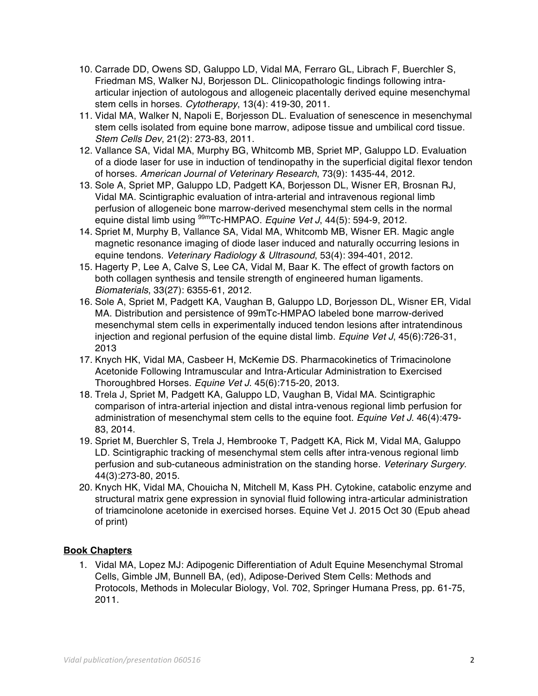- 10. Carrade DD, Owens SD, Galuppo LD, Vidal MA, Ferraro GL, Librach F, Buerchler S, Friedman MS, Walker NJ, Borjesson DL. Clinicopathologic findings following intraarticular injection of autologous and allogeneic placentally derived equine mesenchymal stem cells in horses. *Cytotherapy*, 13(4): 419-30, 2011.
- 11. Vidal MA, Walker N, Napoli E, Borjesson DL. Evaluation of senescence in mesenchymal stem cells isolated from equine bone marrow, adipose tissue and umbilical cord tissue. *Stem Cells Dev*, 21(2): 273-83, 2011.
- 12. Vallance SA, Vidal MA, Murphy BG, Whitcomb MB, Spriet MP, Galuppo LD. Evaluation of a diode laser for use in induction of tendinopathy in the superficial digital flexor tendon of horses. *American Journal of Veterinary Research*, 73(9): 1435-44, 2012.
- 13. Sole A, Spriet MP, Galuppo LD, Padgett KA, Borjesson DL, Wisner ER, Brosnan RJ, Vidal MA. Scintigraphic evaluation of intra-arterial and intravenous regional limb perfusion of allogeneic bone marrow-derived mesenchymal stem cells in the normal equine distal limb using 99mTc-HMPAO. *Equine Vet J*, 44(5): 594-9, 2012.
- 14. Spriet M, Murphy B, Vallance SA, Vidal MA, Whitcomb MB, Wisner ER. Magic angle magnetic resonance imaging of diode laser induced and naturally occurring lesions in equine tendons. *Veterinary Radiology & Ultrasound*, 53(4): 394-401, 2012.
- 15. Hagerty P, Lee A, Calve S, Lee CA, Vidal M, Baar K. The effect of growth factors on both collagen synthesis and tensile strength of engineered human ligaments. *Biomaterials*, 33(27): 6355-61, 2012.
- 16. Sole A, Spriet M, Padgett KA, Vaughan B, Galuppo LD, Borjesson DL, Wisner ER, Vidal MA. Distribution and persistence of 99mTc-HMPAO labeled bone marrow-derived mesenchymal stem cells in experimentally induced tendon lesions after intratendinous injection and regional perfusion of the equine distal limb. *Equine Vet J*, 45(6):726-31, 2013
- 17. Knych HK, Vidal MA, Casbeer H, McKemie DS. Pharmacokinetics of Trimacinolone Acetonide Following Intramuscular and Intra-Articular Administration to Exercised Thoroughbred Horses. *Equine Vet J*. 45(6):715-20, 2013.
- 18. Trela J, Spriet M, Padgett KA, Galuppo LD, Vaughan B, Vidal MA. Scintigraphic comparison of intra-arterial injection and distal intra-venous regional limb perfusion for administration of mesenchymal stem cells to the equine foot. *Equine Vet J*. 46(4):479- 83, 2014.
- 19. Spriet M, Buerchler S, Trela J, Hembrooke T, Padgett KA, Rick M, Vidal MA, Galuppo LD. Scintigraphic tracking of mesenchymal stem cells after intra-venous regional limb perfusion and sub-cutaneous administration on the standing horse. *Veterinary Surgery*. 44(3):273-80, 2015.
- 20. Knych HK, Vidal MA, Chouicha N, Mitchell M, Kass PH. Cytokine, catabolic enzyme and structural matrix gene expression in synovial fluid following intra-articular administration of triamcinolone acetonide in exercised horses. Equine Vet J. 2015 Oct 30 (Epub ahead of print)

## **Book Chapters**

1. Vidal MA, Lopez MJ: Adipogenic Differentiation of Adult Equine Mesenchymal Stromal Cells, Gimble JM, Bunnell BA, (ed), Adipose-Derived Stem Cells: Methods and Protocols, Methods in Molecular Biology, Vol. 702, Springer Humana Press, pp. 61-75, 2011.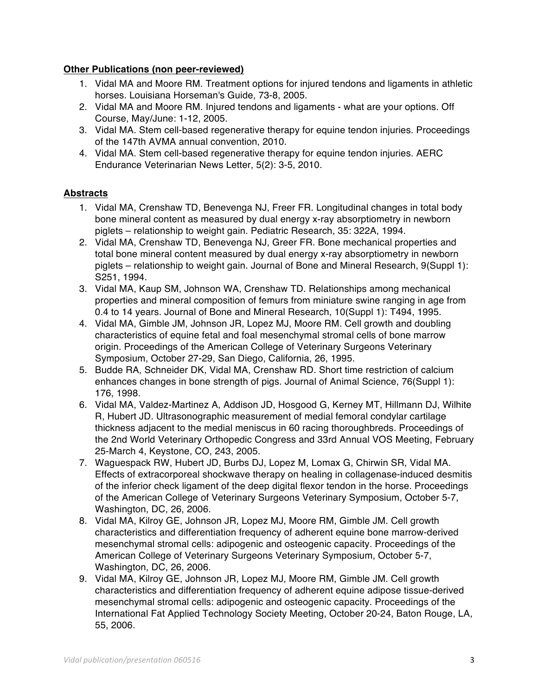#### **Other Publications (non peer-reviewed)**

- 1. Vidal MA and Moore RM. Treatment options for injured tendons and ligaments in athletic horses. Louisiana Horseman's Guide, 73-8, 2005.
- 2. Vidal MA and Moore RM. Injured tendons and ligaments what are your options. Off Course, May/June: 1-12, 2005.
- 3. Vidal MA. Stem cell-based regenerative therapy for equine tendon injuries. Proceedings of the 147th AVMA annual convention, 2010.
- 4. Vidal MA. Stem cell-based regenerative therapy for equine tendon injuries. AERC Endurance Veterinarian News Letter, 5(2): 3-5, 2010.

### **Abstracts**

- 1. Vidal MA, Crenshaw TD, Benevenga NJ, Freer FR. Longitudinal changes in total body bone mineral content as measured by dual energy x-ray absorptiometry in newborn piglets – relationship to weight gain. Pediatric Research, 35: 322A, 1994.
- 2. Vidal MA, Crenshaw TD, Benevenga NJ, Greer FR. Bone mechanical properties and total bone mineral content measured by dual energy x-ray absorptiometry in newborn piglets – relationship to weight gain. Journal of Bone and Mineral Research, 9(Suppl 1): S251, 1994.
- 3. Vidal MA, Kaup SM, Johnson WA, Crenshaw TD. Relationships among mechanical properties and mineral composition of femurs from miniature swine ranging in age from 0.4 to 14 years. Journal of Bone and Mineral Research, 10(Suppl 1): T494, 1995.
- 4. Vidal MA, Gimble JM, Johnson JR, Lopez MJ, Moore RM. Cell growth and doubling characteristics of equine fetal and foal mesenchymal stromal cells of bone marrow origin. Proceedings of the American College of Veterinary Surgeons Veterinary Symposium, October 27-29, San Diego, California, 26, 1995.
- 5. Budde RA, Schneider DK, Vidal MA, Crenshaw RD. Short time restriction of calcium enhances changes in bone strength of pigs. Journal of Animal Science, 76(Suppl 1): 176, 1998.
- 6. Vidal MA, Valdez-Martinez A, Addison JD, Hosgood G, Kerney MT, Hillmann DJ, Wilhite R, Hubert JD. Ultrasonographic measurement of medial femoral condylar cartilage thickness adjacent to the medial meniscus in 60 racing thoroughbreds. Proceedings of the 2nd World Veterinary Orthopedic Congress and 33rd Annual VOS Meeting, February 25-March 4, Keystone, CO, 243, 2005.
- 7. Waguespack RW, Hubert JD, Burbs DJ, Lopez M, Lomax G, Chirwin SR, Vidal MA. Effects of extracorporeal shockwave therapy on healing in collagenase-induced desmitis of the inferior check ligament of the deep digital flexor tendon in the horse. Proceedings of the American College of Veterinary Surgeons Veterinary Symposium, October 5-7, Washington, DC, 26, 2006.
- 8. Vidal MA, Kilroy GE, Johnson JR, Lopez MJ, Moore RM, Gimble JM. Cell growth characteristics and differentiation frequency of adherent equine bone marrow-derived mesenchymal stromal cells: adipogenic and osteogenic capacity. Proceedings of the American College of Veterinary Surgeons Veterinary Symposium, October 5-7, Washington, DC, 26, 2006.
- 9. Vidal MA, Kilroy GE, Johnson JR, Lopez MJ, Moore RM, Gimble JM. Cell growth characteristics and differentiation frequency of adherent equine adipose tissue-derived mesenchymal stromal cells: adipogenic and osteogenic capacity. Proceedings of the International Fat Applied Technology Society Meeting, October 20-24, Baton Rouge, LA, 55, 2006.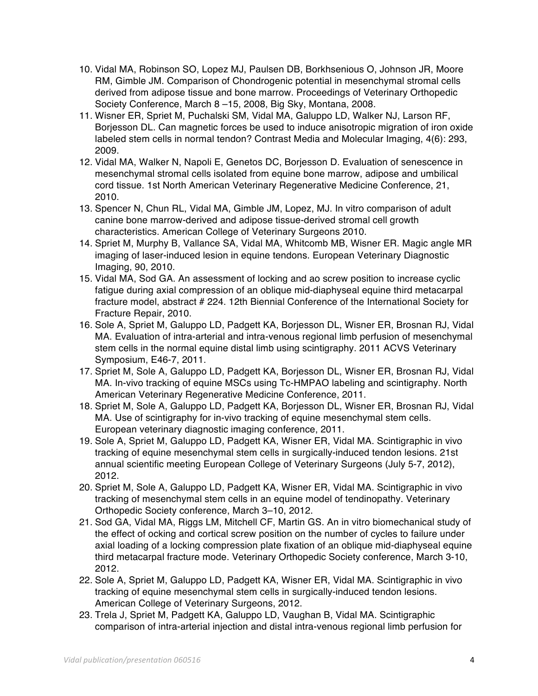- 10. Vidal MA, Robinson SO, Lopez MJ, Paulsen DB, Borkhsenious O, Johnson JR, Moore RM, Gimble JM. Comparison of Chondrogenic potential in mesenchymal stromal cells derived from adipose tissue and bone marrow. Proceedings of Veterinary Orthopedic Society Conference, March 8 –15, 2008, Big Sky, Montana, 2008.
- 11. Wisner ER, Spriet M, Puchalski SM, Vidal MA, Galuppo LD, Walker NJ, Larson RF, Borjesson DL. Can magnetic forces be used to induce anisotropic migration of iron oxide labeled stem cells in normal tendon? Contrast Media and Molecular Imaging, 4(6): 293, 2009.
- 12. Vidal MA, Walker N, Napoli E, Genetos DC, Borjesson D. Evaluation of senescence in mesenchymal stromal cells isolated from equine bone marrow, adipose and umbilical cord tissue. 1st North American Veterinary Regenerative Medicine Conference, 21, 2010.
- 13. Spencer N, Chun RL, Vidal MA, Gimble JM, Lopez, MJ. In vitro comparison of adult canine bone marrow-derived and adipose tissue-derived stromal cell growth characteristics. American College of Veterinary Surgeons 2010.
- 14. Spriet M, Murphy B, Vallance SA, Vidal MA, Whitcomb MB, Wisner ER. Magic angle MR imaging of laser-induced lesion in equine tendons. European Veterinary Diagnostic Imaging, 90, 2010.
- 15. Vidal MA, Sod GA. An assessment of locking and ao screw position to increase cyclic fatigue during axial compression of an oblique mid-diaphyseal equine third metacarpal fracture model, abstract # 224. 12th Biennial Conference of the International Society for Fracture Repair, 2010.
- 16. Sole A, Spriet M, Galuppo LD, Padgett KA, Borjesson DL, Wisner ER, Brosnan RJ, Vidal MA. Evaluation of intra-arterial and intra-venous regional limb perfusion of mesenchymal stem cells in the normal equine distal limb using scintigraphy. 2011 ACVS Veterinary Symposium, E46-7, 2011.
- 17. Spriet M, Sole A, Galuppo LD, Padgett KA, Borjesson DL, Wisner ER, Brosnan RJ, Vidal MA. In-vivo tracking of equine MSCs using Tc-HMPAO labeling and scintigraphy. North American Veterinary Regenerative Medicine Conference, 2011.
- 18. Spriet M, Sole A, Galuppo LD, Padgett KA, Borjesson DL, Wisner ER, Brosnan RJ, Vidal MA. Use of scintigraphy for in-vivo tracking of equine mesenchymal stem cells. European veterinary diagnostic imaging conference, 2011.
- 19. Sole A, Spriet M, Galuppo LD, Padgett KA, Wisner ER, Vidal MA. Scintigraphic in vivo tracking of equine mesenchymal stem cells in surgically-induced tendon lesions. 21st annual scientific meeting European College of Veterinary Surgeons (July 5-7, 2012), 2012.
- 20. Spriet M, Sole A, Galuppo LD, Padgett KA, Wisner ER, Vidal MA. Scintigraphic in vivo tracking of mesenchymal stem cells in an equine model of tendinopathy. Veterinary Orthopedic Society conference, March 3–10, 2012.
- 21. Sod GA, Vidal MA, Riggs LM, Mitchell CF, Martin GS. An in vitro biomechanical study of the effect of ocking and cortical screw position on the number of cycles to failure under axial loading of a locking compression plate fixation of an oblique mid-diaphyseal equine third metacarpal fracture mode. Veterinary Orthopedic Society conference, March 3-10, 2012.
- 22. Sole A, Spriet M, Galuppo LD, Padgett KA, Wisner ER, Vidal MA. Scintigraphic in vivo tracking of equine mesenchymal stem cells in surgically-induced tendon lesions. American College of Veterinary Surgeons, 2012.
- 23. Trela J, Spriet M, Padgett KA, Galuppo LD, Vaughan B, Vidal MA. Scintigraphic comparison of intra-arterial injection and distal intra-venous regional limb perfusion for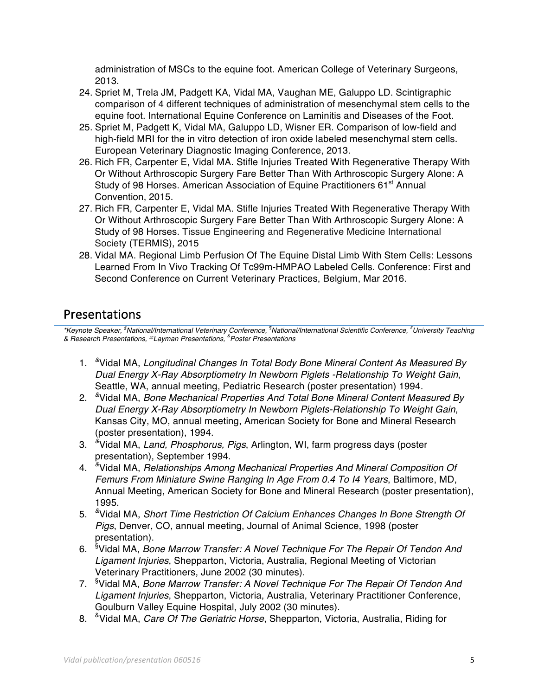administration of MSCs to the equine foot. American College of Veterinary Surgeons, 2013.

- 24. Spriet M, Trela JM, Padgett KA, Vidal MA, Vaughan ME, Galuppo LD. Scintigraphic comparison of 4 different techniques of administration of mesenchymal stem cells to the equine foot. International Equine Conference on Laminitis and Diseases of the Foot.
- 25. Spriet M, Padgett K, Vidal MA, Galuppo LD, Wisner ER. Comparison of low-field and high-field MRI for the in vitro detection of iron oxide labeled mesenchymal stem cells. European Veterinary Diagnostic Imaging Conference, 2013.
- 26. Rich FR, Carpenter E, Vidal MA. Stifle Injuries Treated With Regenerative Therapy With Or Without Arthroscopic Surgery Fare Better Than With Arthroscopic Surgery Alone: A Study of 98 Horses. American Association of Equine Practitioners 61<sup>st</sup> Annual Convention, 2015.
- 27. Rich FR, Carpenter E, Vidal MA. Stifle Injuries Treated With Regenerative Therapy With Or Without Arthroscopic Surgery Fare Better Than With Arthroscopic Surgery Alone: A Study of 98 Horses. Tissue Engineering and Regenerative Medicine International Society (TERMIS), 2015
- 28. Vidal MA. Regional Limb Perfusion Of The Equine Distal Limb With Stem Cells: Lessons Learned From In Vivo Tracking Of Tc99m-HMPAO Labeled Cells. Conference: First and Second Conference on Current Veterinary Practices, Belgium, Mar 2016.

# Presentations

*\*Keynote Speaker, §National/International Veterinary Conference, ¶National/International Scientific Conference, #University Teaching & Research Presentations,* ⌘*Layman Presentations, & Poster Presentations* 

- 1. *&*Vidal MA, *Longitudinal Changes In Total Body Bone Mineral Content As Measured By Dual Energy X-Ray Absorptiometry In Newborn Piglets -Relationship To Weight Gain*, Seattle, WA, annual meeting, Pediatric Research (poster presentation) 1994.
- 2. *&*Vidal MA, *Bone Mechanical Properties And Total Bone Mineral Content Measured By Dual Energy X-Ray Absorptiometry In Newborn Piglets-Relationship To Weight Gain*, Kansas City, MO, annual meeting, American Society for Bone and Mineral Research (poster presentation), 1994.
- 3. *&*Vidal MA, *Land, Phosphorus, Pigs*, Arlington, WI, farm progress days (poster presentation), September 1994.
- 4. *&*Vidal MA, *Relationships Among Mechanical Properties And Mineral Composition Of Femurs From Miniature Swine Ranging In Age From 0.4 To I4 Years*, Baltimore, MD, Annual Meeting, American Society for Bone and Mineral Research (poster presentation), 1995.
- 5. *&*Vidal MA, *Short Time Restriction Of Calcium Enhances Changes In Bone Strength Of Pigs*, Denver, CO, annual meeting, Journal of Animal Science, 1998 (poster presentation).
- 6. §Vidal MA, *Bone Marrow Transfer: A Novel Technique For The Repair Of Tendon And Ligament Injuries*, Shepparton, Victoria, Australia, Regional Meeting of Victorian Veterinary Practitioners, June 2002 (30 minutes).
- 7. §Vidal MA, *Bone Marrow Transfer: A Novel Technique For The Repair Of Tendon And Ligament Injuries*, Shepparton, Victoria, Australia, Veterinary Practitioner Conference, Goulburn Valley Equine Hospital, July 2002 (30 minutes).
- 8. &Vidal MA, *Care Of The Geriatric Horse*, Shepparton, Victoria, Australia, Riding for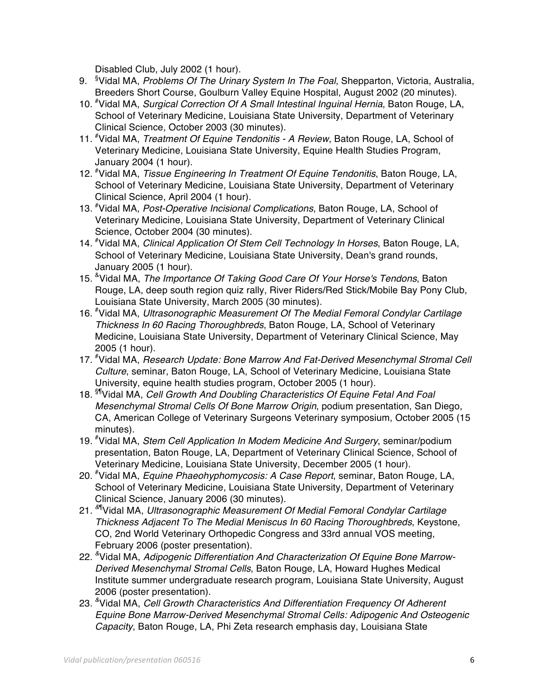Disabled Club, July 2002 (1 hour).

- 9. §Vidal MA, *Problems Of The Urinary System In The Foal*, Shepparton, Victoria, Australia, Breeders Short Course, Goulburn Valley Equine Hospital, August 2002 (20 minutes).
- 10. #Vidal MA, *Surgical Correction Of A Small Intestinal Inguinal Hernia*, Baton Rouge, LA, School of Veterinary Medicine, Louisiana State University, Department of Veterinary Clinical Science, October 2003 (30 minutes).
- 11. #Vidal MA, *Treatment Of Equine Tendonitis A Review*, Baton Rouge, LA, School of Veterinary Medicine, Louisiana State University, Equine Health Studies Program, January 2004 (1 hour).
- 12. #Vidal MA, *Tissue Engineering In Treatment Of Equine Tendonitis*, Baton Rouge, LA, School of Veterinary Medicine, Louisiana State University, Department of Veterinary Clinical Science, April 2004 (1 hour).
- 13. #Vidal MA, *Post-Operative Incisional Complications*, Baton Rouge, LA, School of Veterinary Medicine, Louisiana State University, Department of Veterinary Clinical Science, October 2004 (30 minutes).
- 14. #Vidal MA, *Clinical Application Of Stem Cell Technology In Horses*, Baton Rouge, LA, School of Veterinary Medicine, Louisiana State University, Dean's grand rounds, January 2005 (1 hour).
- 15. &Vidal MA, *The Importance Of Taking Good Care Of Your Horse's Tendons*, Baton Rouge, LA, deep south region quiz rally, River Riders/Red Stick/Mobile Bay Pony Club, Louisiana State University, March 2005 (30 minutes).
- 16. #Vidal MA, *Ultrasonographic Measurement Of The Medial Femoral Condylar Cartilage Thickness In 60 Racing Thoroughbreds*, Baton Rouge, LA, School of Veterinary Medicine, Louisiana State University, Department of Veterinary Clinical Science, May 2005 (1 hour).
- 17. #Vidal MA, *Research Update: Bone Marrow And Fat-Derived Mesenchymal Stromal Cell Culture*, seminar, Baton Rouge, LA, School of Veterinary Medicine, Louisiana State University, equine health studies program, October 2005 (1 hour).
- 18. §¶Vidal MA, *Cell Growth And Doubling Characteristics Of Equine Fetal And Foal Mesenchymal Stromal Cells Of Bone Marrow Origin*, podium presentation, San Diego, CA, American College of Veterinary Surgeons Veterinary symposium, October 2005 (15 minutes).
- 19. #Vidal MA, *Stem Cell Application In Modem Medicine And Surgery*, seminar/podium presentation, Baton Rouge, LA, Department of Veterinary Clinical Science, School of Veterinary Medicine, Louisiana State University, December 2005 (1 hour).
- 20. #Vidal MA, *Equine Phaeohyphomycosis: A Case Report*, seminar, Baton Rouge, LA, School of Veterinary Medicine, Louisiana State University, Department of Veterinary Clinical Science, January 2006 (30 minutes).
- 21. *&*¶Vidal MA, *Ultrasonographic Measurement Of Medial Femoral Condylar Cartilage Thickness Adjacent To The Medial Meniscus In 60 Racing Thoroughbreds*, Keystone, CO, 2nd World Veterinary Orthopedic Congress and 33rd annual VOS meeting, February 2006 (poster presentation).
- 22. *&*Vidal MA, *Adipogenic Differentiation And Characterization Of Equine Bone Marrow-Derived Mesenchymal Stromal Cells*, Baton Rouge, LA, Howard Hughes Medical Institute summer undergraduate research program, Louisiana State University, August 2006 (poster presentation).
- 23. *&*Vidal MA, *Cell Growth Characteristics And Differentiation Frequency Of Adherent Equine Bone Marrow-Derived Mesenchymal Stromal Cells: Adipogenic And Osteogenic Capacity*, Baton Rouge, LA, Phi Zeta research emphasis day, Louisiana State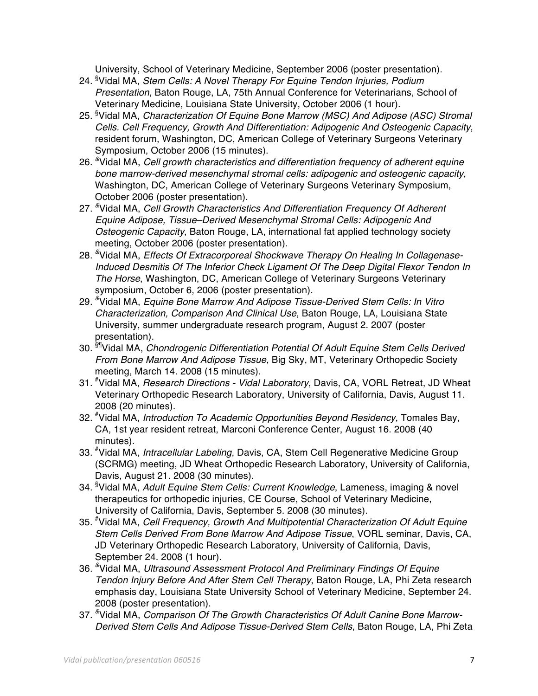University, School of Veterinary Medicine, September 2006 (poster presentation).

- 24. §Vidal MA, *Stem Cells: A Novel Therapy For Equine Tendon Injuries, Podium Presentation*, Baton Rouge, LA, 75th Annual Conference for Veterinarians, School of Veterinary Medicine, Louisiana State University, October 2006 (1 hour).
- 25. §Vidal MA, *Characterization Of Equine Bone Marrow (MSC) And Adipose (ASC) Stromal Cells. Cell Frequency, Growth And Differentiation: Adipogenic And Osteogenic Capacity*, resident forum, Washington, DC, American College of Veterinary Surgeons Veterinary Symposium, October 2006 (15 minutes).
- 26. *&*Vidal MA, *Cell growth characteristics and differentiation frequency of adherent equine bone marrow-derived mesenchymal stromal cells: adipogenic and osteogenic capacity*, Washington, DC, American College of Veterinary Surgeons Veterinary Symposium, October 2006 (poster presentation).
- 27. *&*Vidal MA, *Cell Growth Characteristics And Differentiation Frequency Of Adherent Equine Adipose, Tissue–Derived Mesenchymal Stromal Cells: Adipogenic And Osteogenic Capacity*, Baton Rouge, LA, international fat applied technology society meeting, October 2006 (poster presentation).
- 28. *&*Vidal MA, *Effects Of Extracorporeal Shockwave Therapy On Healing In Collagenase-Induced Desmitis Of The Inferior Check Ligament Of The Deep Digital Flexor Tendon In The Horse*, Washington, DC, American College of Veterinary Surgeons Veterinary symposium, October 6, 2006 (poster presentation).
- 29. *&*Vidal MA, *Equine Bone Marrow And Adipose Tissue-Derived Stem Cells: In Vitro Characterization, Comparison And Clinical Use*, Baton Rouge, LA, Louisiana State University, summer undergraduate research program, August 2. 2007 (poster presentation).
- 30. §¶Vidal MA, *Chondrogenic Differentiation Potential Of Adult Equine Stem Cells Derived From Bone Marrow And Adipose Tissue*, Big Sky, MT, Veterinary Orthopedic Society meeting, March 14. 2008 (15 minutes).
- 31. #Vidal MA, *Research Directions Vidal Laboratory*, Davis, CA, VORL Retreat, JD Wheat Veterinary Orthopedic Research Laboratory, University of California, Davis, August 11. 2008 (20 minutes).
- 32. #Vidal MA, *Introduction To Academic Opportunities Beyond Residency*, Tomales Bay, CA, 1st year resident retreat, Marconi Conference Center, August 16. 2008 (40 minutes).
- 33. #Vidal MA, *Intracellular Labeling*, Davis, CA, Stem Cell Regenerative Medicine Group (SCRMG) meeting, JD Wheat Orthopedic Research Laboratory, University of California, Davis, August 21. 2008 (30 minutes).
- 34. §Vidal MA, *Adult Equine Stem Cells: Current Knowledge*, Lameness, imaging & novel therapeutics for orthopedic injuries, CE Course, School of Veterinary Medicine, University of California, Davis, September 5. 2008 (30 minutes).
- 35. #Vidal MA, *Cell Frequency, Growth And Multipotential Characterization Of Adult Equine Stem Cells Derived From Bone Marrow And Adipose Tissue*, VORL seminar, Davis, CA, JD Veterinary Orthopedic Research Laboratory, University of California, Davis, September 24. 2008 (1 hour).
- 36. *&*Vidal MA, *Ultrasound Assessment Protocol And Preliminary Findings Of Equine Tendon Injury Before And After Stem Cell Therapy*, Baton Rouge, LA, Phi Zeta research emphasis day, Louisiana State University School of Veterinary Medicine, September 24. 2008 (poster presentation).
- 37. *&*Vidal MA, *Comparison Of The Growth Characteristics Of Adult Canine Bone Marrow-Derived Stem Cells And Adipose Tissue-Derived Stem Cells*, Baton Rouge, LA, Phi Zeta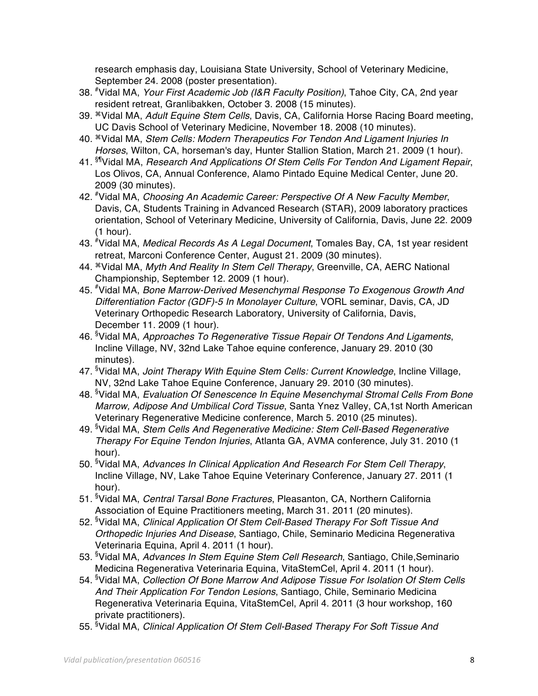research emphasis day, Louisiana State University, School of Veterinary Medicine, September 24. 2008 (poster presentation).

- 38. #Vidal MA, *Your First Academic Job (I&R Faculty Position)*, Tahoe City, CA, 2nd year resident retreat, Granlibakken, October 3. 2008 (15 minutes).
- 39. ⌘Vidal MA, *Adult Equine Stem Cells*, Davis, CA, California Horse Racing Board meeting, UC Davis School of Veterinary Medicine, November 18. 2008 (10 minutes).
- 40. ⌘Vidal MA, *Stem Cells: Modern Therapeutics For Tendon And Ligament Injuries In Horses*, Wilton, CA, horseman's day, Hunter Stallion Station, March 21. 2009 (1 hour).
- 41. §¶Vidal MA, *Research And Applications Of Stem Cells For Tendon And Ligament Repair*, Los Olivos, CA, Annual Conference, Alamo Pintado Equine Medical Center, June 20. 2009 (30 minutes).
- 42. #Vidal MA, *Choosing An Academic Career: Perspective Of A New Faculty Member*, Davis, CA, Students Training in Advanced Research (STAR), 2009 laboratory practices orientation, School of Veterinary Medicine, University of California, Davis, June 22. 2009 (1 hour).
- 43. #Vidal MA, *Medical Records As A Legal Document*, Tomales Bay, CA, 1st year resident retreat, Marconi Conference Center, August 21. 2009 (30 minutes).
- 44. ⌘Vidal MA, *Myth And Reality In Stem Cell Therapy*, Greenville, CA, AERC National Championship, September 12. 2009 (1 hour).
- 45. #Vidal MA, *Bone Marrow-Derived Mesenchymal Response To Exogenous Growth And Differentiation Factor (GDF)-5 In Monolayer Culture*, VORL seminar, Davis, CA, JD Veterinary Orthopedic Research Laboratory, University of California, Davis, December 11. 2009 (1 hour).
- 46. §Vidal MA, *Approaches To Regenerative Tissue Repair Of Tendons And Ligaments*, Incline Village, NV, 32nd Lake Tahoe equine conference, January 29. 2010 (30 minutes).
- 47. §Vidal MA, *Joint Therapy With Equine Stem Cells: Current Knowledge*, Incline Village, NV, 32nd Lake Tahoe Equine Conference, January 29. 2010 (30 minutes).
- 48. §Vidal MA, *Evaluation Of Senescence In Equine Mesenchymal Stromal Cells From Bone Marrow, Adipose And Umbilical Cord Tissue*, Santa Ynez Valley, CA,1st North American Veterinary Regenerative Medicine conference, March 5. 2010 (25 minutes).
- 49. §Vidal MA, *Stem Cells And Regenerative Medicine: Stem Cell-Based Regenerative Therapy For Equine Tendon Injuries*, Atlanta GA, AVMA conference, July 31. 2010 (1 hour).
- 50. §Vidal MA, *Advances In Clinical Application And Research For Stem Cell Therapy*, Incline Village, NV, Lake Tahoe Equine Veterinary Conference, January 27. 2011 (1 hour).
- 51. §Vidal MA, *Central Tarsal Bone Fractures*, Pleasanton, CA, Northern California Association of Equine Practitioners meeting, March 31. 2011 (20 minutes).
- 52. §Vidal MA, *Clinical Application Of Stem Cell-Based Therapy For Soft Tissue And Orthopedic Injuries And Disease*, Santiago, Chile, Seminario Medicina Regenerativa Veterinaria Equina, April 4. 2011 (1 hour).
- 53. §Vidal MA, *Advances In Stem Equine Stem Cell Research*, Santiago, Chile,Seminario Medicina Regenerativa Veterinaria Equina, VitaStemCel, April 4. 2011 (1 hour).
- 54. §Vidal MA, *Collection Of Bone Marrow And Adipose Tissue For Isolation Of Stem Cells And Their Application For Tendon Lesions*, Santiago, Chile, Seminario Medicina Regenerativa Veterinaria Equina, VitaStemCel, April 4. 2011 (3 hour workshop, 160 private practitioners).
- 55. §Vidal MA, *Clinical Application Of Stem Cell-Based Therapy For Soft Tissue And*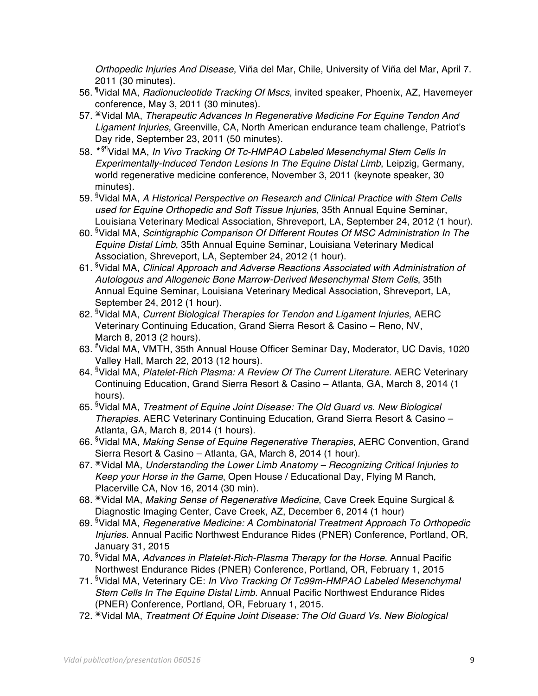*Orthopedic Injuries And Disease*, Viña del Mar, Chile, University of Viña del Mar, April 7. 2011 (30 minutes).

- 56. ¶Vidal MA, *Radionucleotide Tracking Of Mscs*, invited speaker, Phoenix, AZ, Havemeyer conference, May 3, 2011 (30 minutes).
- 57. ⌘Vidal MA, *Therapeutic Advances In Regenerative Medicine For Equine Tendon And Ligament Injuries*, Greenville, CA, North American endurance team challenge, Patriot's Day ride, September 23, 2011 (50 minutes).
- 58. *\** §¶Vidal MA, *In Vivo Tracking Of Tc-HMPAO Labeled Mesenchymal Stem Cells In Experimentally-Induced Tendon Lesions In The Equine Distal Limb*, Leipzig, Germany, world regenerative medicine conference, November 3, 2011 (keynote speaker, 30 minutes).
- 59. §Vidal MA, *A Historical Perspective on Research and Clinical Practice with Stem Cells used for Equine Orthopedic and Soft Tissue Injuries*, 35th Annual Equine Seminar, Louisiana Veterinary Medical Association, Shreveport, LA, September 24, 2012 (1 hour).
- 60. §Vidal MA, *Scintigraphic Comparison Of Different Routes Of MSC Administration In The Equine Distal Limb*, 35th Annual Equine Seminar, Louisiana Veterinary Medical Association, Shreveport, LA, September 24, 2012 (1 hour).
- 61. §Vidal MA, *Clinical Approach and Adverse Reactions Associated with Administration of Autologous and Allogeneic Bone Marrow-Derived Mesenchymal Stem Cells*, 35th Annual Equine Seminar, Louisiana Veterinary Medical Association, Shreveport, LA, September 24, 2012 (1 hour).
- 62. §Vidal MA, *Current Biological Therapies for Tendon and Ligament Injuries*, AERC Veterinary Continuing Education, Grand Sierra Resort & Casino – Reno, NV, March 8, 2013 (2 hours).
- 63. #Vidal MA, VMTH, 35th Annual House Officer Seminar Day, Moderator, UC Davis, 1020 Valley Hall, March 22, 2013 (12 hours).
- 64. §Vidal MA, *Platelet-Rich Plasma: A Review Of The Current Literature*. AERC Veterinary Continuing Education, Grand Sierra Resort & Casino – Atlanta, GA, March 8, 2014 (1 hours).
- 65. §Vidal MA, *Treatment of Equine Joint Disease: The Old Guard vs. New Biological Therapies*. AERC Veterinary Continuing Education, Grand Sierra Resort & Casino – Atlanta, GA, March 8, 2014 (1 hours).
- 66. §Vidal MA, *Making Sense of Equine Regenerative Therapies*, AERC Convention, Grand Sierra Resort & Casino – Atlanta, GA, March 8, 2014 (1 hour).
- 67. ⌘Vidal MA, *Understanding the Lower Limb Anatomy Recognizing Critical Injuries to Keep your Horse in the Game*, Open House / Educational Day, Flying M Ranch, Placerville CA, Nov 16, 2014 (30 min).
- 68. ⌘Vidal MA, *Making Sense of Regenerative Medicine*, Cave Creek Equine Surgical & Diagnostic Imaging Center, Cave Creek, AZ, December 6, 2014 (1 hour)
- 69. §Vidal MA, *Regenerative Medicine: A Combinatorial Treatment Approach To Orthopedic Injuries*. Annual Pacific Northwest Endurance Rides (PNER) Conference, Portland, OR, January 31, 2015
- 70. §Vidal MA, *Advances in Platelet-Rich-Plasma Therapy for the Horse*. Annual Pacific Northwest Endurance Rides (PNER) Conference, Portland, OR, February 1, 2015
- 71. §Vidal MA, Veterinary CE: *In Vivo Tracking Of Tc99m-HMPAO Labeled Mesenchymal Stem Cells In The Equine Distal Limb*. Annual Pacific Northwest Endurance Rides (PNER) Conference, Portland, OR, February 1, 2015.
- 72. ⌘Vidal MA, *Treatment Of Equine Joint Disease: The Old Guard Vs. New Biological*